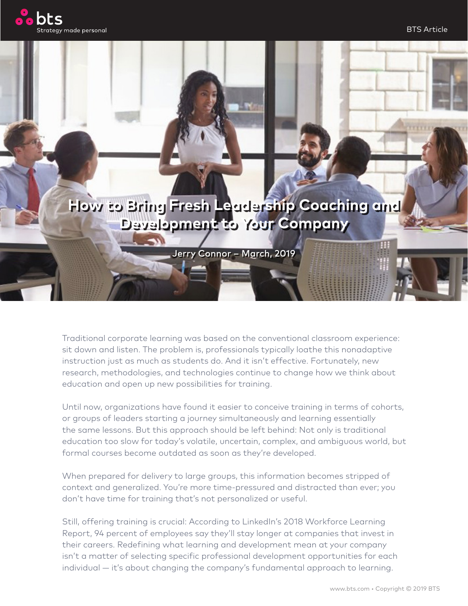

## **How to Bring Fresh Leadership Coaching and Development to Your Company**

Jerry Connor – March, 2019

Traditional corporate learning was based on the conventional classroom experience: sit down and listen. The problem is, professionals typically loathe this nonadaptive instruction just as much as students do. And it isn't effective. Fortunately, new research, methodologies, and technologies continue to change how we think about education and open up new possibilities for training.

Until now, organizations have found it easier to conceive training in terms of cohorts, or groups of leaders starting a journey simultaneously and learning essentially the same lessons. But this approach should be left behind: Not only is traditional education too slow for today's volatile, uncertain, complex, and ambiguous world, but formal courses become outdated as soon as they're developed.

When prepared for delivery to large groups, this information becomes stripped of context and generalized. You're more time-pressured and distracted than ever; you don't have time for training that's not personalized or useful.

Still, offering training is crucial: According to LinkedIn's 2018 Workforce Learning Report, 94 percent of employees say they'll stay longer at companies that invest in their careers. Redefining what learning and development mean at your company isn't a matter of selecting specific professional development opportunities for each individual — it's about changing the company's fundamental approach to learning.

田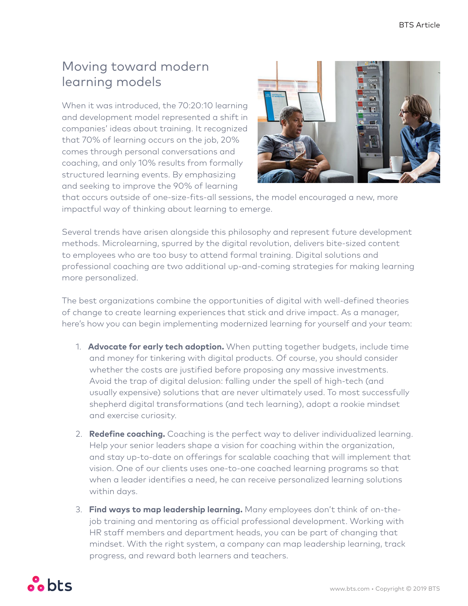## Moving toward modern learning models

When it was introduced, the 70:20:10 learning and development model represented a shift in companies' ideas about training. It recognized that 70% of learning occurs on the job, 20% comes through personal conversations and coaching, and only 10% results from formally structured learning events. By emphasizing and seeking to improve the 90% of learning



that occurs outside of one-size-fits-all sessions, the model encouraged a new, more impactful way of thinking about learning to emerge.

Several trends have arisen alongside this philosophy and represent future development methods. Microlearning, spurred by the digital revolution, delivers bite-sized content to employees who are too busy to attend formal training. Digital solutions and professional coaching are two additional up-and-coming strategies for making learning more personalized.

The best organizations combine the opportunities of digital with well-defined theories of change to create learning experiences that stick and drive impact. As a manager, here's how you can begin implementing modernized learning for yourself and your team:

- 1. **Advocate for early tech adoption.** When putting together budgets, include time and money for tinkering with digital products. Of course, you should consider whether the costs are justified before proposing any massive investments. Avoid the trap of digital delusion: falling under the spell of high-tech (and usually expensive) solutions that are never ultimately used. To most successfully shepherd digital transformations (and tech learning), adopt a rookie mindset and exercise curiosity.
- 2. **Redefine coaching.** Coaching is the perfect way to deliver individualized learning. Help your senior leaders shape a vision for coaching within the organization, and stay up-to-date on offerings for scalable coaching that will implement that vision. One of our clients uses one-to-one coached learning programs so that when a leader identifies a need, he can receive personalized learning solutions within days.
- 3. **Find ways to map leadership learning.** Many employees don't think of on-thejob training and mentoring as official professional development. Working with HR staff members and department heads, you can be part of changing that mindset. With the right system, a company can map leadership learning, track progress, and reward both learners and teachers.